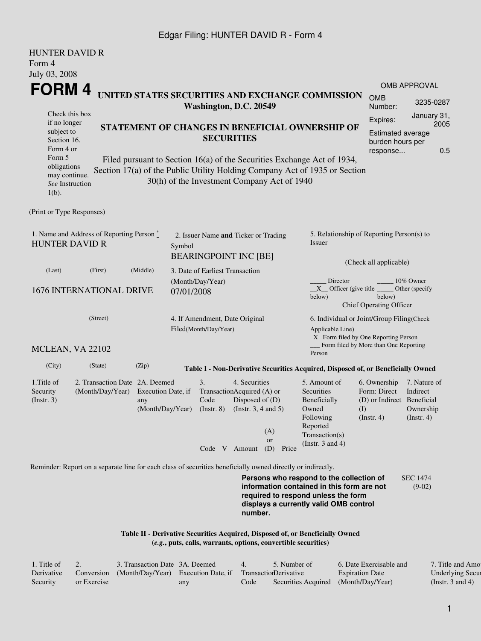## Edgar Filing: HUNTER DAVID R - Form 4

| <b>HUNTER DAVID R</b><br>Form 4                                                                                                                   |                                                                            |                                                                                                                                                                                                                                                                                                                                                                                               |                                                         |                                                                                                                                                                                                                    |                                                                                                                                                                         |                                                                           |                                                           |  |  |  |  |
|---------------------------------------------------------------------------------------------------------------------------------------------------|----------------------------------------------------------------------------|-----------------------------------------------------------------------------------------------------------------------------------------------------------------------------------------------------------------------------------------------------------------------------------------------------------------------------------------------------------------------------------------------|---------------------------------------------------------|--------------------------------------------------------------------------------------------------------------------------------------------------------------------------------------------------------------------|-------------------------------------------------------------------------------------------------------------------------------------------------------------------------|---------------------------------------------------------------------------|-----------------------------------------------------------|--|--|--|--|
| July 03, 2008<br>FORM 4                                                                                                                           |                                                                            |                                                                                                                                                                                                                                                                                                                                                                                               |                                                         |                                                                                                                                                                                                                    |                                                                                                                                                                         |                                                                           | <b>OMB APPROVAL</b>                                       |  |  |  |  |
|                                                                                                                                                   | UNITED STATES SECURITIES AND EXCHANGE COMMISSION<br>Washington, D.C. 20549 |                                                                                                                                                                                                                                                                                                                                                                                               |                                                         |                                                                                                                                                                                                                    |                                                                                                                                                                         |                                                                           |                                                           |  |  |  |  |
| Check this box<br>if no longer<br>subject to<br>Section 16.<br>Form 4 or<br>Form 5<br>obligations<br>may continue.<br>See Instruction<br>$1(b)$ . |                                                                            | Number:<br>January 31,<br>Expires:<br>2005<br>STATEMENT OF CHANGES IN BENEFICIAL OWNERSHIP OF<br><b>Estimated average</b><br><b>SECURITIES</b><br>burden hours per<br>0.5<br>response<br>Filed pursuant to Section 16(a) of the Securities Exchange Act of 1934,<br>Section 17(a) of the Public Utility Holding Company Act of 1935 or Section<br>30(h) of the Investment Company Act of 1940 |                                                         |                                                                                                                                                                                                                    |                                                                                                                                                                         |                                                                           |                                                           |  |  |  |  |
| (Print or Type Responses)                                                                                                                         |                                                                            |                                                                                                                                                                                                                                                                                                                                                                                               |                                                         |                                                                                                                                                                                                                    |                                                                                                                                                                         |                                                                           |                                                           |  |  |  |  |
| <b>HUNTER DAVID R</b>                                                                                                                             | 1. Name and Address of Reporting Person*                                   | Symbol                                                                                                                                                                                                                                                                                                                                                                                        | <b>BEARINGPOINT INC [BE]</b>                            | 2. Issuer Name and Ticker or Trading                                                                                                                                                                               | 5. Relationship of Reporting Person(s) to<br><i>Issuer</i>                                                                                                              |                                                                           |                                                           |  |  |  |  |
| (Last)                                                                                                                                            | (First)                                                                    | (Middle)                                                                                                                                                                                                                                                                                                                                                                                      | 3. Date of Earliest Transaction                         |                                                                                                                                                                                                                    | (Check all applicable)                                                                                                                                                  |                                                                           |                                                           |  |  |  |  |
|                                                                                                                                                   | <b>1676 INTERNATIONAL DRIVE</b>                                            |                                                                                                                                                                                                                                                                                                                                                                                               | (Month/Day/Year)<br>07/01/2008                          |                                                                                                                                                                                                                    | Director<br>10% Owner<br>$X$ Officer (give title $\overline{\phantom{a}}$<br>Other (specify<br>below)<br>below)<br><b>Chief Operating Officer</b>                       |                                                                           |                                                           |  |  |  |  |
|                                                                                                                                                   | (Street)                                                                   |                                                                                                                                                                                                                                                                                                                                                                                               | 4. If Amendment, Date Original<br>Filed(Month/Day/Year) |                                                                                                                                                                                                                    | 6. Individual or Joint/Group Filing(Check<br>Applicable Line)<br>_X_ Form filed by One Reporting Person<br>Form filed by More than One Reporting                        |                                                                           |                                                           |  |  |  |  |
| MCLEAN, VA 22102                                                                                                                                  |                                                                            |                                                                                                                                                                                                                                                                                                                                                                                               |                                                         |                                                                                                                                                                                                                    | Person                                                                                                                                                                  |                                                                           |                                                           |  |  |  |  |
| (City)<br>1. Title of<br>Security<br>$($ Instr. 3 $)$                                                                                             | (State)<br>2. Transaction Date 2A. Deemed<br>(Month/Day/Year)              | (Zip)<br>Execution Date, if<br>any<br>(Month/Day/Year)                                                                                                                                                                                                                                                                                                                                        | 3.<br>Code<br>$($ Instr. $8)$<br>Code V Amount          | Table I - Non-Derivative Securities Acquired, Disposed of, or Beneficially Owned<br>4. Securities<br>TransactionAcquired (A) or<br>Disposed of (D)<br>(Instr. $3, 4$ and $5$ )<br>(A)<br><b>or</b><br>(D)<br>Price | 5. Amount of<br>Securities<br>Beneficially<br>Owned<br>(I)<br>Following<br>Reported<br>Transaction(s)<br>(Instr. $3$ and $4$ )                                          | 6. Ownership<br>Form: Direct<br>(D) or Indirect Beneficial<br>(Insert. 4) | 7. Nature of<br>Indirect<br>Ownership<br>$($ Instr. 4 $)$ |  |  |  |  |
|                                                                                                                                                   |                                                                            |                                                                                                                                                                                                                                                                                                                                                                                               |                                                         | Reminder: Report on a separate line for each class of securities beneficially owned directly or indirectly.                                                                                                        | Persons who respond to the collection of<br>information contained in this form are not<br>required to respond unless the form<br>displays a currently valid OMB control |                                                                           | <b>SEC 1474</b><br>$(9-02)$                               |  |  |  |  |

**number.**

**Table II - Derivative Securities Acquired, Disposed of, or Beneficially Owned (***e.g.***, puts, calls, warrants, options, convertible securities)**

| . Title of |             | 3. Transaction Date 3A, Deemed                                       |     |      | 5. Number of                         | 6. Date Exercisable and | 7. Title and Amol       |
|------------|-------------|----------------------------------------------------------------------|-----|------|--------------------------------------|-------------------------|-------------------------|
| Derivative |             | Conversion (Month/Day/Year) Execution Date, if TransactionDerivative |     |      |                                      | <b>Expiration Date</b>  | <b>Underlying Secur</b> |
| Security   | or Exercise |                                                                      | any | Code | Securities Acquired (Month/Day/Year) |                         | (Instr. $3$ and $4$ )   |